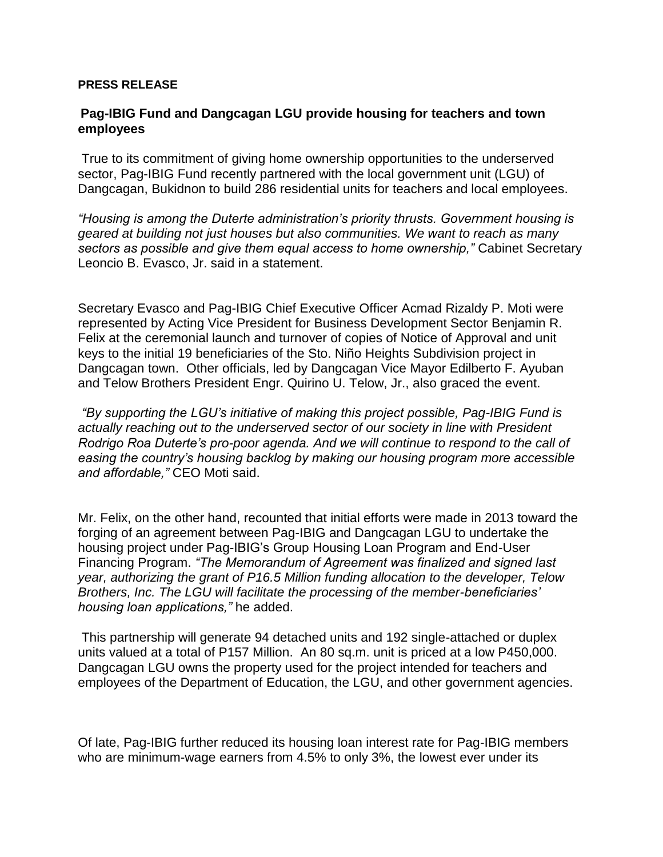## **PRESS RELEASE**

## **Pag-IBIG Fund and Dangcagan LGU provide housing for teachers and town employees**

True to its commitment of giving home ownership opportunities to the underserved sector, Pag-IBIG Fund recently partnered with the local government unit (LGU) of Dangcagan, Bukidnon to build 286 residential units for teachers and local employees.

*"Housing is among the Duterte administration's priority thrusts. Government housing is geared at building not just houses but also communities. We want to reach as many sectors as possible and give them equal access to home ownership,"* Cabinet Secretary Leoncio B. Evasco, Jr. said in a statement.

Secretary Evasco and Pag-IBIG Chief Executive Officer Acmad Rizaldy P. Moti were represented by Acting Vice President for Business Development Sector Benjamin R. Felix at the ceremonial launch and turnover of copies of Notice of Approval and unit keys to the initial 19 beneficiaries of the Sto. Niño Heights Subdivision project in Dangcagan town. Other officials, led by Dangcagan Vice Mayor Edilberto F. Ayuban and Telow Brothers President Engr. Quirino U. Telow, Jr., also graced the event.

*"By supporting the LGU's initiative of making this project possible, Pag-IBIG Fund is actually reaching out to the underserved sector of our society in line with President Rodrigo Roa Duterte's pro-poor agenda. And we will continue to respond to the call of easing the country's housing backlog by making our housing program more accessible and affordable,"* CEO Moti said.

Mr. Felix, on the other hand, recounted that initial efforts were made in 2013 toward the forging of an agreement between Pag-IBIG and Dangcagan LGU to undertake the housing project under Pag-IBIG's Group Housing Loan Program and End-User Financing Program. *"The Memorandum of Agreement was finalized and signed last year, authorizing the grant of P16.5 Million funding allocation to the developer, Telow Brothers, Inc. The LGU will facilitate the processing of the member-beneficiaries' housing loan applications,"* he added.

This partnership will generate 94 detached units and 192 single-attached or duplex units valued at a total of P157 Million. An 80 sq.m. unit is priced at a low P450,000. Dangcagan LGU owns the property used for the project intended for teachers and employees of the Department of Education, the LGU, and other government agencies.

Of late, Pag-IBIG further reduced its housing loan interest rate for Pag-IBIG members who are minimum-wage earners from 4.5% to only 3%, the lowest ever under its